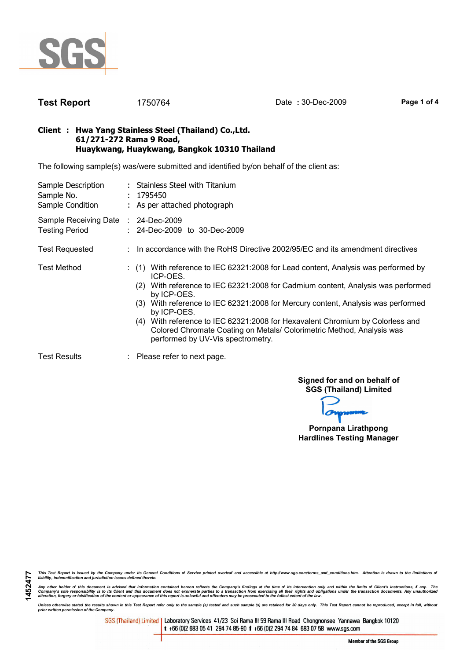

1452477

Test Report 1750764 Date : 30-Dec-2009 Page 1 of 4

#### Client : Hwa Yang Stainless Steel (Thailand) Co.,Ltd. 61/271-272 Rama 9 Road, Huaykwang, Huaykwang, Bangkok 10310 Thailand

The following sample(s) was/were submitted and identified by/on behalf of the client as:

| Sample Description<br>Sample No.<br>Sample Condition         | : Stainless Steel with Titanium<br>: 1795450<br>: As per attached photograph                                                                                                                                                                                                                                                                                                                                                                                                                                  |  |  |  |  |
|--------------------------------------------------------------|---------------------------------------------------------------------------------------------------------------------------------------------------------------------------------------------------------------------------------------------------------------------------------------------------------------------------------------------------------------------------------------------------------------------------------------------------------------------------------------------------------------|--|--|--|--|
| Sample Receiving Date : 24-Dec-2009<br><b>Testing Period</b> | $: 24$ -Dec-2009 to 30-Dec-2009                                                                                                                                                                                                                                                                                                                                                                                                                                                                               |  |  |  |  |
| <b>Test Requested</b>                                        | : In accordance with the RoHS Directive 2002/95/EC and its amendment directives                                                                                                                                                                                                                                                                                                                                                                                                                               |  |  |  |  |
| Test Method                                                  | $\colon$ (1) With reference to IEC 62321:2008 for Lead content, Analysis was performed by<br>ICP-OES.<br>With reference to IEC 62321:2008 for Cadmium content, Analysis was performed<br>(2)<br>by ICP-OES.<br>(3) With reference to IEC 62321:2008 for Mercury content, Analysis was performed<br>by ICP-OES.<br>(4) With reference to IEC 62321:2008 for Hexavalent Chromium by Colorless and<br>Colored Chromate Coating on Metals/ Colorimetric Method, Analysis was<br>performed by UV-Vis spectrometry. |  |  |  |  |
| <b>Test Results</b>                                          | $\therefore$ Please refer to next page.                                                                                                                                                                                                                                                                                                                                                                                                                                                                       |  |  |  |  |

Signed for and on behalf of SGS (Thailand) Limited

Pornpana Lirathpong Hardlines Testing Manager

This Test Report is issued by the Company under its General Conditions of Service printed overleaf and accessible at http://www.sgs.com/terms\_and\_conditions.htm. Attention is drawn to the limitations of<br>liability, indemni

Any other holder of this document is advised that information contained hereon reflects the Company's findings at the time of its intervention only and within the limits of Client's instructions, if any. The<br>Company's sole

Unless otherwise stated the results shown in this Test Report refer only to the sample (s) tested and such sample (s) are retained for 30 days only. This Test Report cannot be reproduced, except in full, without<br>prior writ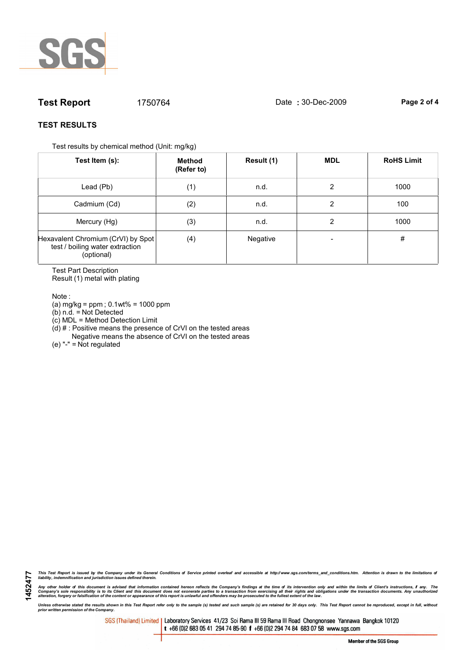

# **Test Report** 1750764 Date : 30-Dec-2009 Page 2 of 4

### TEST RESULTS

Test results by chemical method (Unit: mg/kg)

| Test Item (s):                                                                      | Method<br>(Refer to) | Result (1) | <b>MDL</b> | <b>RoHS Limit</b> |
|-------------------------------------------------------------------------------------|----------------------|------------|------------|-------------------|
| Lead (Pb)                                                                           | (1)                  | n.d.       | 2          | 1000              |
| Cadmium (Cd)                                                                        | (2)                  | n.d.       | 2          | 100               |
| Mercury (Hg)                                                                        | (3)                  | n.d.       | 2          | 1000              |
| Hexavalent Chromium (CrVI) by Spot<br>test / boiling water extraction<br>(optional) | (4)                  | Negative   |            | #                 |

Test Part Description Result (1) metal with plating

Note :

1452477

(a) mg/kg = ppm ; 0.1wt% = 1000 ppm

(b) n.d. = Not Detected

(c) MDL = Method Detection Limit

 $(d)$  # : Positive means the presence of CrVI on the tested areas

Negative means the absence of CrVI on the tested areas

(e) "-" = Not regulated

This Test Report is issued by the Company under its General Conditions of Service printed overleaf and accessible at http://www.sgs.com/terms\_and\_conditions.htm. Attention is drawn to the limitations of<br>liability, indemni

Any other holder of this document is advised that information contained hereon reflects the Company's findings at the time of its intervention only and within the limits of Client's instructions, if any. The<br>Company's sole

Unless otherwise stated the results shown in this Test Report refer only to the sample (s) tested and such sample (s) are retained for 30 days only. This Test Report cannot be reproduced, except in full, without<br>prior writ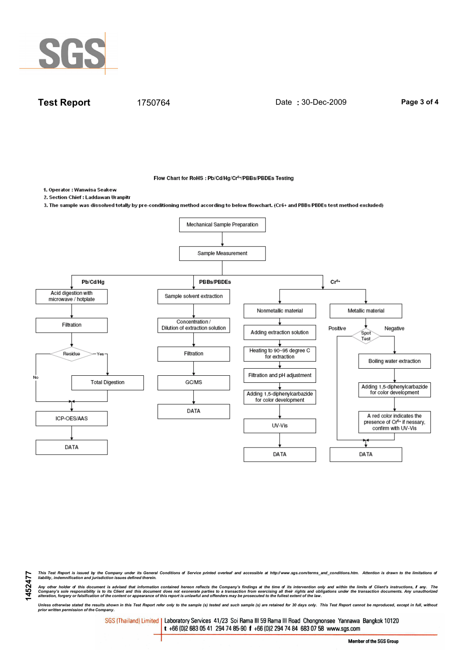

**Test Report** 1750764 Date : 30-Dec-2009 Page 3 of 4

Flow Chart for RoHS : Pb/Cd/Hg/Cr<sup>6+</sup>/PBBs/PBDEs Testing

1. Operator : Wanwisa Seakew

1452477

2. Section Chief : Laddawan Uranpitr

3. The sample was dissolved totally by pre-conditioning method according to below flowchart. (Cr6+ and PBBs/PBDEs test method excluded)



This Test Report is issued by the Company under its General Conditions of Service printed overleaf and accessible at http://www.sgs.com/terms\_and\_conditions.htm. Attention is drawn to the limitations of<br>liability, indemni

Any other holder of this document is advised that information contained hereon reflects the Company's findings at the time of its intervention only and within the limits of Client's instructions, if any. The<br>Company's sole

Unless otherwise stated the results shown in this Test Report refer only to the sample (s) tested and such sample (s) are retained for 30 days only. This Test Report cannot be reproduced, except in full, without<br>prior writ